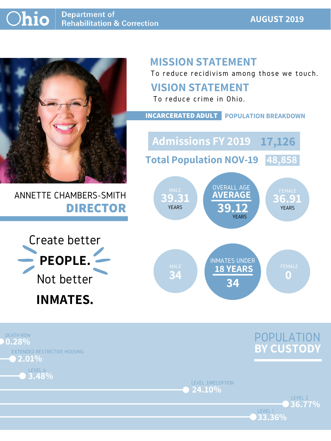### **AUGUST 2019**



## ANNETTE CHAMBERS-SMITH **DIRECTOR**

## **MISSION STATEMENT**

To reduce recidivism among those we touch.





LEVEL 1

LEVEL 3/RECEPTION **24.10%**





### **VISION STATEMENT**



To reduce crime in Ohio.

**INCARCERATED ADULT POPULATION BREAKDOWN**

**Total Population NOV-19 48,858**

**Admissions FY 2019 17,126**

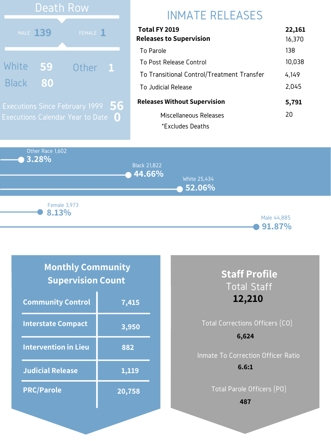Other Race 1,602 **3.28% 44.66% 52.06%** Black 21,822 White 25,434 Male 44,885 **8.13%** Female 3,973

#### **91.87%**

# INMATE RELEASES

| Total FY 2019                              | 22,161 |
|--------------------------------------------|--------|
| <b>Releases to Supervision</b>             | 16,370 |
| To Parole                                  | 138    |
| To Post Release Control                    | 10,038 |
| To Transitional Control/Treatment Transfer | 4,149  |
| To Judicial Release                        | 2,045  |
| <b>Releases Without Supervision</b>        | 5,791  |
| Miscellaneous Releases                     | 20     |
| *Excludes Deaths                           |        |



### **Monthly Community Supervision Count**

| <b>Community Control</b>    | 7,415  |
|-----------------------------|--------|
| <b>Interstate Compact</b>   | 3,950  |
| <b>Intervention in Lieu</b> | 882    |
| <b>Judicial Release</b>     | 1,119  |
| <b>PRC/Parole</b>           | 20,758 |

### **Staff Profile** Total Staff **12,210**

## Total Corrections Officers (CO) Inmate To Correction Officer Ratio **6,624 6.6:1**

Total Parole Officers (PO)

**487**